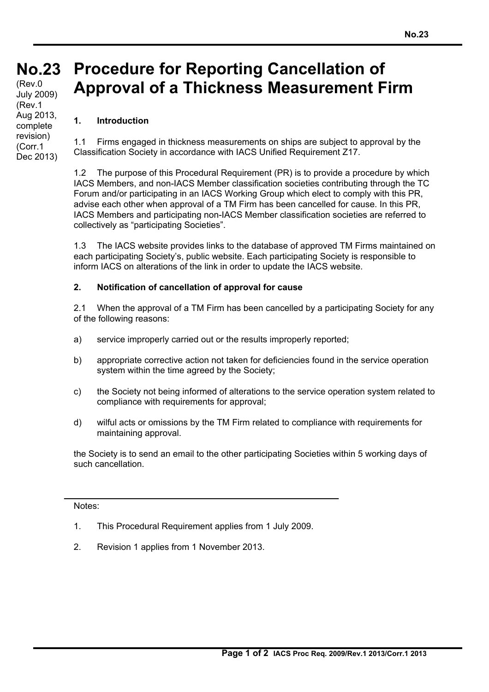## **No.23 No.23** (Rev.0 **Procedure for Reporting Cancellation of Approval of a Thickness Measurement Firm** July 2009) (Rev.1

## **1. Introduction**

Aug 2013, complete revision) (Corr.1 Dec 2013)

1.1 Firms engaged in thickness measurements on ships are subject to approval by the Classification Society in accordance with IACS Unified Requirement Z17.

1.2 The purpose of this Procedural Requirement (PR) is to provide a procedure by which IACS Members, and non-IACS Member classification societies contributing through the TC Forum and/or participating in an IACS Working Group which elect to comply with this PR, advise each other when approval of a TM Firm has been cancelled for cause. In this PR, IACS Members and participating non-IACS Member classification societies are referred to collectively as "participating Societies".

1.3 The IACS website provides links to the database of approved TM Firms maintained on each participating Society's, public website. Each participating Society is responsible to inform IACS on alterations of the link in order to update the IACS website.

## **2. Notification of cancellation of approval for cause**

2.1 When the approval of a TM Firm has been cancelled by a participating Society for any of the following reasons:

- a) service improperly carried out or the results improperly reported;
- b) appropriate corrective action not taken for deficiencies found in the service operation system within the time agreed by the Society;
- c) the Society not being informed of alterations to the service operation system related to compliance with requirements for approval;
- d) wilful acts or omissions by the TM Firm related to compliance with requirements for maintaining approval.

the Society is to send an email to the other participating Societies within 5 working days of such cancellation.

## Notes:

- 1. This Procedural Requirement applies from 1 July 2009.
- 2. Revision 1 applies from 1 November 2013.